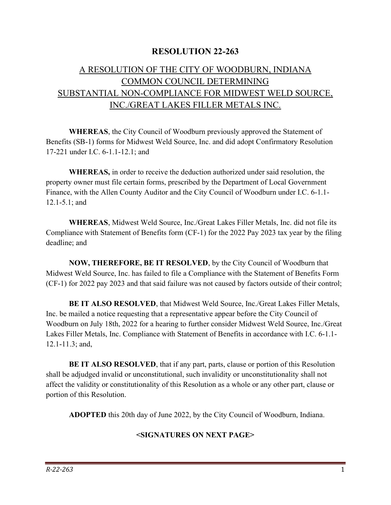## RESOLUTION 22-263

## A RESOLUTION OF THE CITY OF WOODBURN, INDIANA COMMON COUNCIL DETERMINING SUBSTANTIAL NON-COMPLIANCE FOR MIDWEST WELD SOURCE, INC./GREAT LAKES FILLER METALS INC.

WHEREAS, the City Council of Woodburn previously approved the Statement of Benefits (SB-1) forms for Midwest Weld Source, Inc. and did adopt Confirmatory Resolution 17-221 under I.C. 6-1.1-12.1; and

WHEREAS, in order to receive the deduction authorized under said resolution, the property owner must file certain forms, prescribed by the Department of Local Government Finance, with the Allen County Auditor and the City Council of Woodburn under I.C. 6-1.1- 12.1-5.1; and

 WHEREAS, Midwest Weld Source, Inc./Great Lakes Filler Metals, Inc. did not file its Compliance with Statement of Benefits form (CF-1) for the 2022 Pay 2023 tax year by the filing deadline; and

NOW, THEREFORE, BE IT RESOLVED, by the City Council of Woodburn that Midwest Weld Source, Inc. has failed to file a Compliance with the Statement of Benefits Form (CF-1) for 2022 pay 2023 and that said failure was not caused by factors outside of their control;

BE IT ALSO RESOLVED, that Midwest Weld Source, Inc./Great Lakes Filler Metals, Inc. be mailed a notice requesting that a representative appear before the City Council of Woodburn on July 18th, 2022 for a hearing to further consider Midwest Weld Source, Inc./Great Lakes Filler Metals, Inc. Compliance with Statement of Benefits in accordance with I.C. 6-1.1- 12.1-11.3; and,

BE IT ALSO RESOLVED, that if any part, parts, clause or portion of this Resolution shall be adjudged invalid or unconstitutional, such invalidity or unconstitutionality shall not affect the validity or constitutionality of this Resolution as a whole or any other part, clause or portion of this Resolution.

ADOPTED this 20th day of June 2022, by the City Council of Woodburn, Indiana.

## <SIGNATURES ON NEXT PAGE>